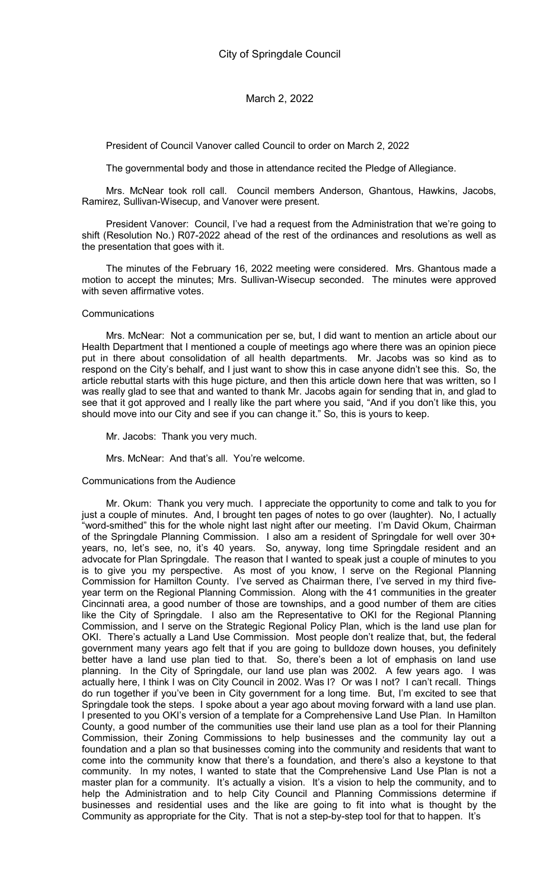President of Council Vanover called Council to order on March 2, 2022

The governmental body and those in attendance recited the Pledge of Allegiance.

Mrs. McNear took roll call. Council members Anderson, Ghantous, Hawkins, Jacobs, Ramirez, Sullivan-Wisecup, and Vanover were present.

President Vanover: Council, I've had a request from the Administration that we're going to shift (Resolution No.) R07-2022 ahead of the rest of the ordinances and resolutions as well as the presentation that goes with it.

The minutes of the February 16, 2022 meeting were considered. Mrs. Ghantous made a motion to accept the minutes; Mrs. Sullivan-Wisecup seconded. The minutes were approved with seven affirmative votes.

#### **Communications**

Mrs. McNear: Not a communication per se, but, I did want to mention an article about our Health Department that I mentioned a couple of meetings ago where there was an opinion piece put in there about consolidation of all health departments. Mr. Jacobs was so kind as to respond on the City's behalf, and I just want to show this in case anyone didn't see this. So, the article rebuttal starts with this huge picture, and then this article down here that was written, so I was really glad to see that and wanted to thank Mr. Jacobs again for sending that in, and glad to see that it got approved and I really like the part where you said, "And if you don't like this, you should move into our City and see if you can change it." So, this is yours to keep.

Mr. Jacobs: Thank you very much.

Mrs. McNear: And that's all. You're welcome.

Communications from the Audience

Mr. Okum: Thank you very much. I appreciate the opportunity to come and talk to you for just a couple of minutes. And, I brought ten pages of notes to go over (laughter). No, I actually "word-smithed" this for the whole night last night after our meeting. I'm David Okum, Chairman of the Springdale Planning Commission. I also am a resident of Springdale for well over 30+ years, no, let's see, no, it's 40 years. So, anyway, long time Springdale resident and an advocate for Plan Springdale. The reason that I wanted to speak just a couple of minutes to you is to give you my perspective. As most of you know, I serve on the Regional Planning Commission for Hamilton County. I've served as Chairman there, I've served in my third fiveyear term on the Regional Planning Commission. Along with the 41 communities in the greater Cincinnati area, a good number of those are townships, and a good number of them are cities like the City of Springdale. I also am the Representative to OKI for the Regional Planning Commission, and I serve on the Strategic Regional Policy Plan, which is the land use plan for OKI. There's actually a Land Use Commission. Most people don't realize that, but, the federal government many years ago felt that if you are going to bulldoze down houses, you definitely better have a land use plan tied to that. So, there's been a lot of emphasis on land use planning. In the City of Springdale, our land use plan was 2002. A few years ago. I was actually here, I think I was on City Council in 2002. Was I? Or was I not? I can't recall. Things do run together if you've been in City government for a long time. But, I'm excited to see that Springdale took the steps. I spoke about a year ago about moving forward with a land use plan. I presented to you OKI's version of a template for a Comprehensive Land Use Plan. In Hamilton County, a good number of the communities use their land use plan as a tool for their Planning Commission, their Zoning Commissions to help businesses and the community lay out a foundation and a plan so that businesses coming into the community and residents that want to come into the community know that there's a foundation, and there's also a keystone to that community. In my notes, I wanted to state that the Comprehensive Land Use Plan is not a master plan for a community. It's actually a vision. It's a vision to help the community, and to help the Administration and to help City Council and Planning Commissions determine if businesses and residential uses and the like are going to fit into what is thought by the Community as appropriate for the City. That is not a step-by-step tool for that to happen. It's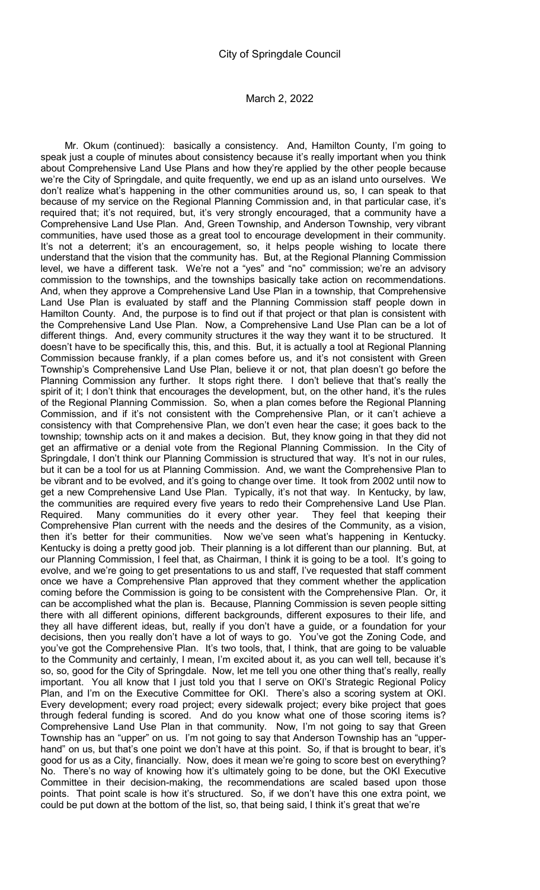Mr. Okum (continued): basically a consistency. And, Hamilton County, I'm going to speak just a couple of minutes about consistency because it's really important when you think about Comprehensive Land Use Plans and how they're applied by the other people because we're the City of Springdale, and quite frequently, we end up as an island unto ourselves. We don't realize what's happening in the other communities around us, so, I can speak to that because of my service on the Regional Planning Commission and, in that particular case, it's required that; it's not required, but, it's very strongly encouraged, that a community have a Comprehensive Land Use Plan. And, Green Township, and Anderson Township, very vibrant communities, have used those as a great tool to encourage development in their community. It's not a deterrent; it's an encouragement, so, it helps people wishing to locate there understand that the vision that the community has. But, at the Regional Planning Commission level, we have a different task. We're not a "yes" and "no" commission; we're an advisory commission to the townships, and the townships basically take action on recommendations. And, when they approve a Comprehensive Land Use Plan in a township, that Comprehensive Land Use Plan is evaluated by staff and the Planning Commission staff people down in Hamilton County. And, the purpose is to find out if that project or that plan is consistent with the Comprehensive Land Use Plan. Now, a Comprehensive Land Use Plan can be a lot of different things. And, every community structures it the way they want it to be structured. It doesn't have to be specifically this, this, and this. But, it is actually a tool at Regional Planning Commission because frankly, if a plan comes before us, and it's not consistent with Green Township's Comprehensive Land Use Plan, believe it or not, that plan doesn't go before the Planning Commission any further. It stops right there. I don't believe that that's really the spirit of it; I don't think that encourages the development, but, on the other hand, it's the rules of the Regional Planning Commission. So, when a plan comes before the Regional Planning Commission, and if it's not consistent with the Comprehensive Plan, or it can't achieve a consistency with that Comprehensive Plan, we don't even hear the case; it goes back to the township; township acts on it and makes a decision. But, they know going in that they did not get an affirmative or a denial vote from the Regional Planning Commission. In the City of Springdale, I don't think our Planning Commission is structured that way. It's not in our rules, but it can be a tool for us at Planning Commission. And, we want the Comprehensive Plan to be vibrant and to be evolved, and it's going to change over time. It took from 2002 until now to get a new Comprehensive Land Use Plan. Typically, it's not that way. In Kentucky, by law, the communities are required every five years to redo their Comprehensive Land Use Plan. Required. Many communities do it every other year. They feel that keeping their Comprehensive Plan current with the needs and the desires of the Community, as a vision, then it's better for their communities. Now we've seen what's happening in Kentucky. Kentucky is doing a pretty good job. Their planning is a lot different than our planning. But, at our Planning Commission, I feel that, as Chairman, I think it is going to be a tool. It's going to evolve, and we're going to get presentations to us and staff, I've requested that staff comment once we have a Comprehensive Plan approved that they comment whether the application coming before the Commission is going to be consistent with the Comprehensive Plan. Or, it can be accomplished what the plan is. Because, Planning Commission is seven people sitting there with all different opinions, different backgrounds, different exposures to their life, and they all have different ideas, but, really if you don't have a guide, or a foundation for your decisions, then you really don't have a lot of ways to go. You've got the Zoning Code, and you've got the Comprehensive Plan. It's two tools, that, I think, that are going to be valuable to the Community and certainly, I mean, I'm excited about it, as you can well tell, because it's so, so, good for the City of Springdale. Now, let me tell you one other thing that's really, really important. You all know that I just told you that I serve on OKI's Strategic Regional Policy Plan, and I'm on the Executive Committee for OKI. There's also a scoring system at OKI. Every development; every road project; every sidewalk project; every bike project that goes through federal funding is scored. And do you know what one of those scoring items is? Comprehensive Land Use Plan in that community. Now, I'm not going to say that Green Township has an "upper" on us. I'm not going to say that Anderson Township has an "upperhand" on us, but that's one point we don't have at this point. So, if that is brought to bear, it's good for us as a City, financially. Now, does it mean we're going to score best on everything? No. There's no way of knowing how it's ultimately going to be done, but the OKI Executive Committee in their decision-making, the recommendations are scaled based upon those points. That point scale is how it's structured. So, if we don't have this one extra point, we could be put down at the bottom of the list, so, that being said, I think it's great that we're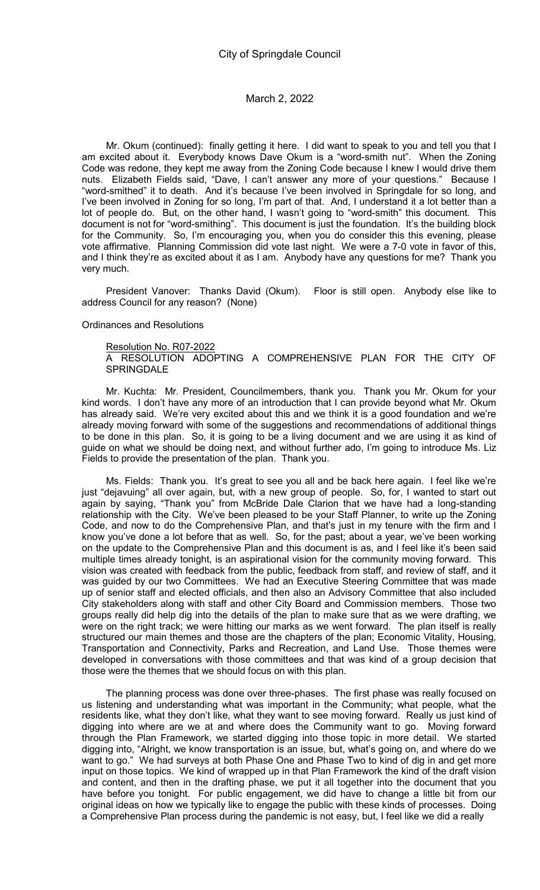Mr. Okum (continued): finally getting it here. I did want to speak to you and tell you that I am excited about it. Everybody knows Dave Okum is a "word-smith nut". When the Zoning Code was redone, they kept me away from the Zoning Code because I knew I would drive them nuts. Elizabeth Fields said, "Dave, I can't answer any more of your questions." Because I "word-smithed" it to death. And it's because I've been involved in Springdale for so long, and I've been involved in Zoning for so long, I'm part of that. And, I understand it a lot better than a lot of people do. But, on the other hand, I wasn't going to "word-smith" this document. This document is not for "word-smithing". This document is just the foundation. It's the building block for the Community. So, I'm encouraging you, when you do consider this this evening, please vote affirmative. Planning Commission did vote last night. We were a 7-0 vote in favor of this, and I think they're as excited about it as I am. Anybody have any questions for me? Thank you very much.

President Vanover: Thanks David (Okum). Floor is still open. Anybody else like to address Council for any reason? (None)

#### Ordinances and Resolutions

Resolution No. R07-2022 A RESOLUTION ADOPTING A COMPREHENSIVE PLAN FOR THE CITY OF SPRINGDALE

Mr. Kuchta: Mr. President, Councilmembers, thank you. Thank you Mr. Okum for your kind words. I don't have any more of an introduction that I can provide beyond what Mr. Okum has already said. We're very excited about this and we think it is a good foundation and we're already moving forward with some of the suggestions and recommendations of additional things to be done in this plan. So, it is going to be a living document and we are using it as kind of guide on what we should be doing next, and without further ado, I'm going to introduce Ms. Liz Fields to provide the presentation of the plan. Thank you.

Ms. Fields: Thank you. It's great to see you all and be back here again. I feel like we're just "dejavuing" all over again, but, with a new group of people. So, for, I wanted to start out again by saying, "Thank you" from McBride Dale Clarion that we have had a long-standing relationship with the City. We've been pleased to be your Staff Planner, to write up the Zoning Code, and now to do the Comprehensive Plan, and that's just in my tenure with the firm and I know you've done a lot before that as well. So, for the past; about a year, we've been working on the update to the Comprehensive Plan and this document is as, and I feel like it's been said multiple times already tonight, is an aspirational vision for the community moving forward. This vision was created with feedback from the public, feedback from staff, and review of staff, and it was guided by our two Committees. We had an Executive Steering Committee that was made up of senior staff and elected officials, and then also an Advisory Committee that also included City stakeholders along with staff and other City Board and Commission members. Those two groups really did help dig into the details of the plan to make sure that as we were drafting, we were on the right track; we were hitting our marks as we went forward. The plan itself is really structured our main themes and those are the chapters of the plan; Economic Vitality, Housing, Transportation and Connectivity, Parks and Recreation, and Land Use. Those themes were developed in conversations with those committees and that was kind of a group decision that those were the themes that we should focus on with this plan.

The planning process was done over three-phases. The first phase was really focused on us listening and understanding what was important in the Community; what people, what the residents like, what they don't like, what they want to see moving forward. Really us just kind of digging into where are we at and where does the Community want to go. Moving forward through the Plan Framework, we started digging into those topic in more detail. We started digging into, "Alright, we know transportation is an issue, but, what's going on, and where do we want to go." We had surveys at both Phase One and Phase Two to kind of dig in and get more input on those topics. We kind of wrapped up in that Plan Framework the kind of the draft vision and content, and then in the drafting phase, we put it all together into the document that you have before you tonight. For public engagement, we did have to change a little bit from our original ideas on how we typically like to engage the public with these kinds of processes. Doing a Comprehensive Plan process during the pandemic is not easy, but, I feel like we did a really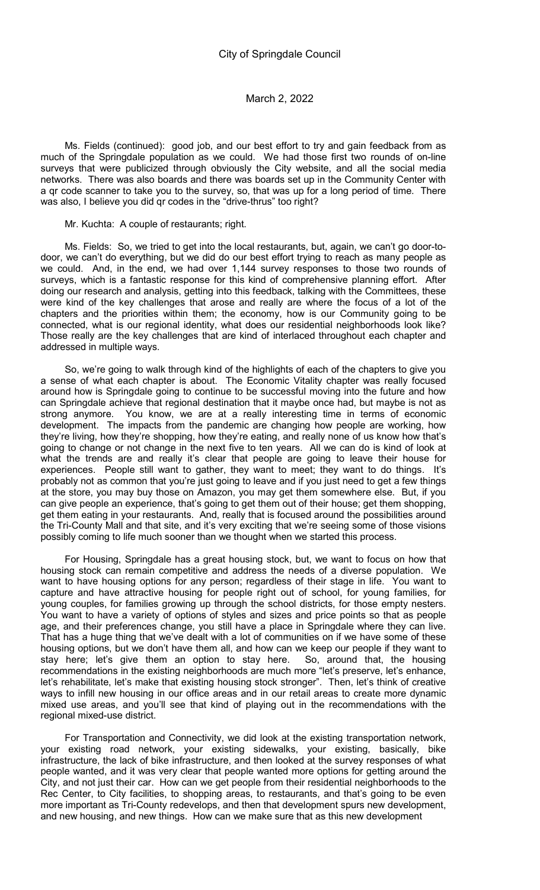Ms. Fields (continued): good job, and our best effort to try and gain feedback from as much of the Springdale population as we could. We had those first two rounds of on-line surveys that were publicized through obviously the City website, and all the social media networks. There was also boards and there was boards set up in the Community Center with a qr code scanner to take you to the survey, so, that was up for a long period of time. There was also, I believe you did qr codes in the "drive-thrus" too right?

Mr. Kuchta: A couple of restaurants; right.

Ms. Fields: So, we tried to get into the local restaurants, but, again, we can't go door-todoor, we can't do everything, but we did do our best effort trying to reach as many people as we could. And, in the end, we had over 1,144 survey responses to those two rounds of surveys, which is a fantastic response for this kind of comprehensive planning effort. After doing our research and analysis, getting into this feedback, talking with the Committees, these were kind of the key challenges that arose and really are where the focus of a lot of the chapters and the priorities within them; the economy, how is our Community going to be connected, what is our regional identity, what does our residential neighborhoods look like? Those really are the key challenges that are kind of interlaced throughout each chapter and addressed in multiple ways.

So, we're going to walk through kind of the highlights of each of the chapters to give you a sense of what each chapter is about. The Economic Vitality chapter was really focused around how is Springdale going to continue to be successful moving into the future and how can Springdale achieve that regional destination that it maybe once had, but maybe is not as strong anymore. You know, we are at a really interesting time in terms of economic development. The impacts from the pandemic are changing how people are working, how they're living, how they're shopping, how they're eating, and really none of us know how that's going to change or not change in the next five to ten years. All we can do is kind of look at what the trends are and really it's clear that people are going to leave their house for experiences. People still want to gather, they want to meet; they want to do things. It's probably not as common that you're just going to leave and if you just need to get a few things at the store, you may buy those on Amazon, you may get them somewhere else. But, if you can give people an experience, that's going to get them out of their house; get them shopping, get them eating in your restaurants. And, really that is focused around the possibilities around the Tri-County Mall and that site, and it's very exciting that we're seeing some of those visions possibly coming to life much sooner than we thought when we started this process.

For Housing, Springdale has a great housing stock, but, we want to focus on how that housing stock can remain competitive and address the needs of a diverse population. We want to have housing options for any person; regardless of their stage in life. You want to capture and have attractive housing for people right out of school, for young families, for young couples, for families growing up through the school districts, for those empty nesters. You want to have a variety of options of styles and sizes and price points so that as people age, and their preferences change, you still have a place in Springdale where they can live. That has a huge thing that we've dealt with a lot of communities on if we have some of these housing options, but we don't have them all, and how can we keep our people if they want to stay here; let's give them an option to stay here. So, around that, the housing stay here; let's give them an option to stay here. recommendations in the existing neighborhoods are much more "let's preserve, let's enhance, let's rehabilitate, let's make that existing housing stock stronger". Then, let's think of creative ways to infill new housing in our office areas and in our retail areas to create more dynamic mixed use areas, and you'll see that kind of playing out in the recommendations with the regional mixed-use district.

For Transportation and Connectivity, we did look at the existing transportation network, your existing road network, your existing sidewalks, your existing, basically, bike infrastructure, the lack of bike infrastructure, and then looked at the survey responses of what people wanted, and it was very clear that people wanted more options for getting around the City, and not just their car. How can we get people from their residential neighborhoods to the Rec Center, to City facilities, to shopping areas, to restaurants, and that's going to be even more important as Tri-County redevelops, and then that development spurs new development, and new housing, and new things. How can we make sure that as this new development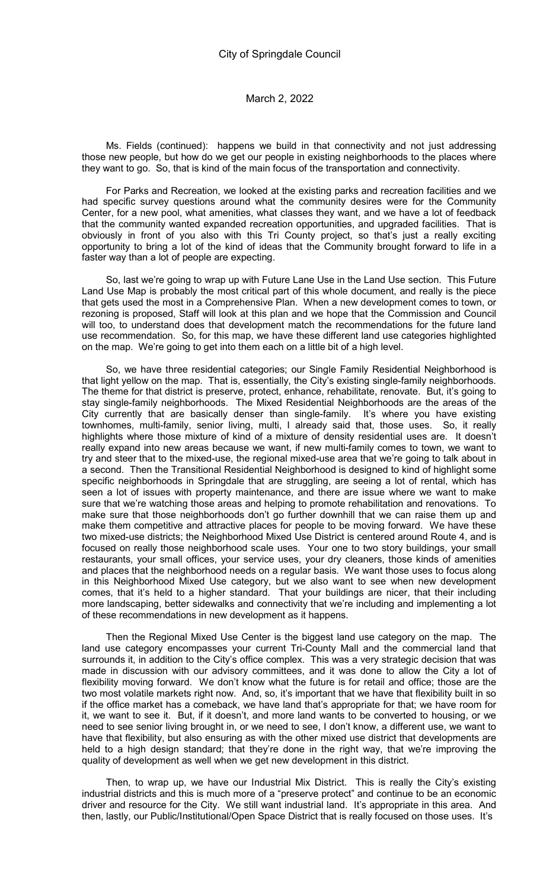Ms. Fields (continued): happens we build in that connectivity and not just addressing those new people, but how do we get our people in existing neighborhoods to the places where they want to go. So, that is kind of the main focus of the transportation and connectivity.

For Parks and Recreation, we looked at the existing parks and recreation facilities and we had specific survey questions around what the community desires were for the Community Center, for a new pool, what amenities, what classes they want, and we have a lot of feedback that the community wanted expanded recreation opportunities, and upgraded facilities. That is obviously in front of you also with this Tri County project, so that's just a really exciting opportunity to bring a lot of the kind of ideas that the Community brought forward to life in a faster way than a lot of people are expecting.

So, last we're going to wrap up with Future Lane Use in the Land Use section. This Future Land Use Map is probably the most critical part of this whole document, and really is the piece that gets used the most in a Comprehensive Plan. When a new development comes to town, or rezoning is proposed, Staff will look at this plan and we hope that the Commission and Council will too, to understand does that development match the recommendations for the future land use recommendation. So, for this map, we have these different land use categories highlighted on the map. We're going to get into them each on a little bit of a high level.

So, we have three residential categories; our Single Family Residential Neighborhood is that light yellow on the map. That is, essentially, the City's existing single-family neighborhoods. The theme for that district is preserve, protect, enhance, rehabilitate, renovate. But, it's going to stay single-family neighborhoods. The Mixed Residential Neighborhoods are the areas of the City currently that are basically denser than single-family. It's where you have existing townhomes, multi-family, senior living, multi, I already said that, those uses. So, it really highlights where those mixture of kind of a mixture of density residential uses are. It doesn't really expand into new areas because we want, if new multi-family comes to town, we want to try and steer that to the mixed-use, the regional mixed-use area that we're going to talk about in a second. Then the Transitional Residential Neighborhood is designed to kind of highlight some specific neighborhoods in Springdale that are struggling, are seeing a lot of rental, which has seen a lot of issues with property maintenance, and there are issue where we want to make sure that we're watching those areas and helping to promote rehabilitation and renovations. To make sure that those neighborhoods don't go further downhill that we can raise them up and make them competitive and attractive places for people to be moving forward. We have these two mixed-use districts; the Neighborhood Mixed Use District is centered around Route 4, and is focused on really those neighborhood scale uses. Your one to two story buildings, your small restaurants, your small offices, your service uses, your dry cleaners, those kinds of amenities and places that the neighborhood needs on a regular basis. We want those uses to focus along in this Neighborhood Mixed Use category, but we also want to see when new development comes, that it's held to a higher standard. That your buildings are nicer, that their including more landscaping, better sidewalks and connectivity that we're including and implementing a lot of these recommendations in new development as it happens.

Then the Regional Mixed Use Center is the biggest land use category on the map. The land use category encompasses your current Tri-County Mall and the commercial land that surrounds it, in addition to the City's office complex. This was a very strategic decision that was made in discussion with our advisory committees, and it was done to allow the City a lot of flexibility moving forward. We don't know what the future is for retail and office; those are the two most volatile markets right now. And, so, it's important that we have that flexibility built in so if the office market has a comeback, we have land that's appropriate for that; we have room for it, we want to see it. But, if it doesn't, and more land wants to be converted to housing, or we need to see senior living brought in, or we need to see, I don't know, a different use, we want to have that flexibility, but also ensuring as with the other mixed use district that developments are held to a high design standard; that they're done in the right way, that we're improving the quality of development as well when we get new development in this district.

Then, to wrap up, we have our Industrial Mix District. This is really the City's existing industrial districts and this is much more of a "preserve protect" and continue to be an economic driver and resource for the City. We still want industrial land. It's appropriate in this area. And then, lastly, our Public/Institutional/Open Space District that is really focused on those uses. It's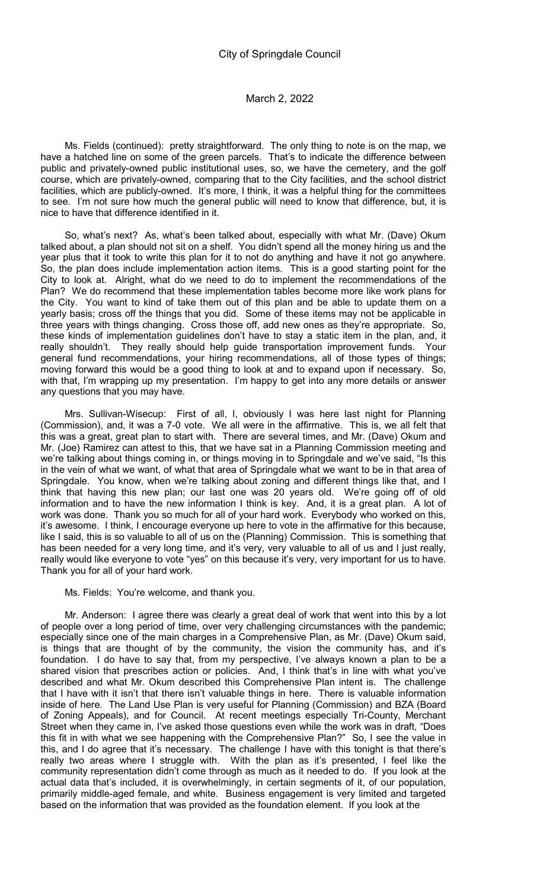Ms. Fields (continued): pretty straightforward. The only thing to note is on the map, we have a hatched line on some of the green parcels. That's to indicate the difference between public and privately-owned public institutional uses, so, we have the cemetery, and the golf course, which are privately-owned, comparing that to the City facilities, and the school district facilities, which are publicly-owned. It's more, I think, it was a helpful thing for the committees to see. I'm not sure how much the general public will need to know that difference, but, it is nice to have that difference identified in it.

So, what's next? As, what's been talked about, especially with what Mr. (Dave) Okum talked about, a plan should not sit on a shelf. You didn't spend all the money hiring us and the year plus that it took to write this plan for it to not do anything and have it not go anywhere. So, the plan does include implementation action items. This is a good starting point for the City to look at. Alright, what do we need to do to implement the recommendations of the Plan? We do recommend that these implementation tables become more like work plans for the City. You want to kind of take them out of this plan and be able to update them on a yearly basis; cross off the things that you did. Some of these items may not be applicable in three years with things changing. Cross those off, add new ones as they're appropriate. So, these kinds of implementation guidelines don't have to stay a static item in the plan, and, it really shouldn't. They really should help guide transportation improvement funds. Your general fund recommendations, your hiring recommendations, all of those types of things; moving forward this would be a good thing to look at and to expand upon if necessary. So, with that, I'm wrapping up my presentation. I'm happy to get into any more details or answer any questions that you may have.

Mrs. Sullivan-Wisecup: First of all, I, obviously I was here last night for Planning (Commission), and, it was a 7-0 vote. We all were in the affirmative. This is, we all felt that this was a great, great plan to start with. There are several times, and Mr. (Dave) Okum and Mr. (Joe) Ramirez can attest to this, that we have sat in a Planning Commission meeting and we're talking about things coming in, or things moving in to Springdale and we've said, "Is this in the vein of what we want, of what that area of Springdale what we want to be in that area of Springdale. You know, when we're talking about zoning and different things like that, and I think that having this new plan; our last one was 20 years old. We're going off of old information and to have the new information I think is key. And, it is a great plan. A lot of work was done. Thank you so much for all of your hard work. Everybody who worked on this, it's awesome. I think, I encourage everyone up here to vote in the affirmative for this because, like I said, this is so valuable to all of us on the (Planning) Commission. This is something that has been needed for a very long time, and it's very, very valuable to all of us and I just really, really would like everyone to vote "yes" on this because it's very, very important for us to have. Thank you for all of your hard work.

#### Ms. Fields: You're welcome, and thank you.

Mr. Anderson: I agree there was clearly a great deal of work that went into this by a lot of people over a long period of time, over very challenging circumstances with the pandemic; especially since one of the main charges in a Comprehensive Plan, as Mr. (Dave) Okum said, is things that are thought of by the community, the vision the community has, and it's foundation. I do have to say that, from my perspective, I've always known a plan to be a shared vision that prescribes action or policies. And, I think that's in line with what you've described and what Mr. Okum described this Comprehensive Plan intent is. The challenge that I have with it isn't that there isn't valuable things in here. There is valuable information inside of here. The Land Use Plan is very useful for Planning (Commission) and BZA (Board of Zoning Appeals), and for Council. At recent meetings especially Tri-County, Merchant Street when they came in, I've asked those questions even while the work was in draft, "Does this fit in with what we see happening with the Comprehensive Plan?" So, I see the value in this, and I do agree that it's necessary. The challenge I have with this tonight is that there's really two areas where I struggle with. With the plan as it's presented, I feel like the community representation didn't come through as much as it needed to do. If you look at the actual data that's included, it is overwhelmingly, in certain segments of it, of our population, primarily middle-aged female, and white. Business engagement is very limited and targeted based on the information that was provided as the foundation element. If you look at the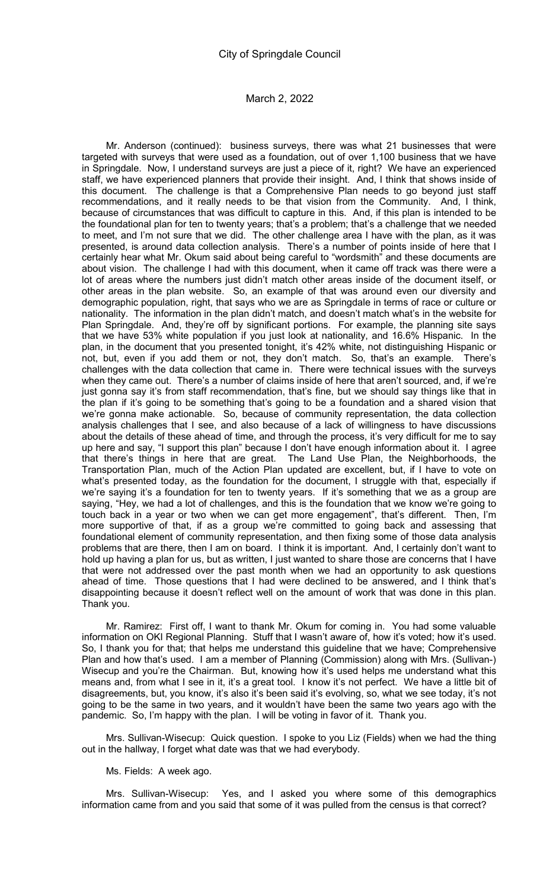Mr. Anderson (continued): business surveys, there was what 21 businesses that were targeted with surveys that were used as a foundation, out of over 1,100 business that we have in Springdale. Now, I understand surveys are just a piece of it, right? We have an experienced staff, we have experienced planners that provide their insight. And, I think that shows inside of this document. The challenge is that a Comprehensive Plan needs to go beyond just staff recommendations, and it really needs to be that vision from the Community. And, I think, because of circumstances that was difficult to capture in this. And, if this plan is intended to be the foundational plan for ten to twenty years; that's a problem; that's a challenge that we needed to meet, and I'm not sure that we did. The other challenge area I have with the plan, as it was presented, is around data collection analysis. There's a number of points inside of here that I certainly hear what Mr. Okum said about being careful to "wordsmith" and these documents are about vision. The challenge I had with this document, when it came off track was there were a lot of areas where the numbers just didn't match other areas inside of the document itself, or other areas in the plan website. So, an example of that was around even our diversity and demographic population, right, that says who we are as Springdale in terms of race or culture or nationality. The information in the plan didn't match, and doesn't match what's in the website for Plan Springdale. And, they're off by significant portions. For example, the planning site says that we have 53% white population if you just look at nationality, and 16.6% Hispanic. In the plan, in the document that you presented tonight, it's 42% white, not distinguishing Hispanic or not, but, even if you add them or not, they don't match. So, that's an example. There's challenges with the data collection that came in. There were technical issues with the surveys when they came out. There's a number of claims inside of here that aren't sourced, and, if we're just gonna say it's from staff recommendation, that's fine, but we should say things like that in the plan if it's going to be something that's going to be a foundation and a shared vision that we're gonna make actionable. So, because of community representation, the data collection analysis challenges that I see, and also because of a lack of willingness to have discussions about the details of these ahead of time, and through the process, it's very difficult for me to say up here and say, "I support this plan" because I don't have enough information about it. I agree that there's things in here that are great. The Land Use Plan, the Neighborhoods, the Transportation Plan, much of the Action Plan updated are excellent, but, if I have to vote on what's presented today, as the foundation for the document, I struggle with that, especially if we're saying it's a foundation for ten to twenty years. If it's something that we as a group are saying, "Hey, we had a lot of challenges, and this is the foundation that we know we're going to touch back in a year or two when we can get more engagement", that's different. Then, I'm more supportive of that, if as a group we're committed to going back and assessing that foundational element of community representation, and then fixing some of those data analysis problems that are there, then I am on board. I think it is important. And, I certainly don't want to hold up having a plan for us, but as written, I just wanted to share those are concerns that I have that were not addressed over the past month when we had an opportunity to ask questions ahead of time. Those questions that I had were declined to be answered, and I think that's disappointing because it doesn't reflect well on the amount of work that was done in this plan. Thank you.

Mr. Ramirez: First off, I want to thank Mr. Okum for coming in. You had some valuable information on OKI Regional Planning. Stuff that I wasn't aware of, how it's voted; how it's used. So, I thank you for that; that helps me understand this guideline that we have; Comprehensive Plan and how that's used. I am a member of Planning (Commission) along with Mrs. (Sullivan-) Wisecup and you're the Chairman. But, knowing how it's used helps me understand what this means and, from what I see in it, it's a great tool. I know it's not perfect. We have a little bit of disagreements, but, you know, it's also it's been said it's evolving, so, what we see today, it's not going to be the same in two years, and it wouldn't have been the same two years ago with the pandemic. So, I'm happy with the plan. I will be voting in favor of it. Thank you.

Mrs. Sullivan-Wisecup: Quick question. I spoke to you Liz (Fields) when we had the thing out in the hallway, I forget what date was that we had everybody.

#### Ms. Fields: A week ago.

Mrs. Sullivan-Wisecup: Yes, and I asked you where some of this demographics information came from and you said that some of it was pulled from the census is that correct?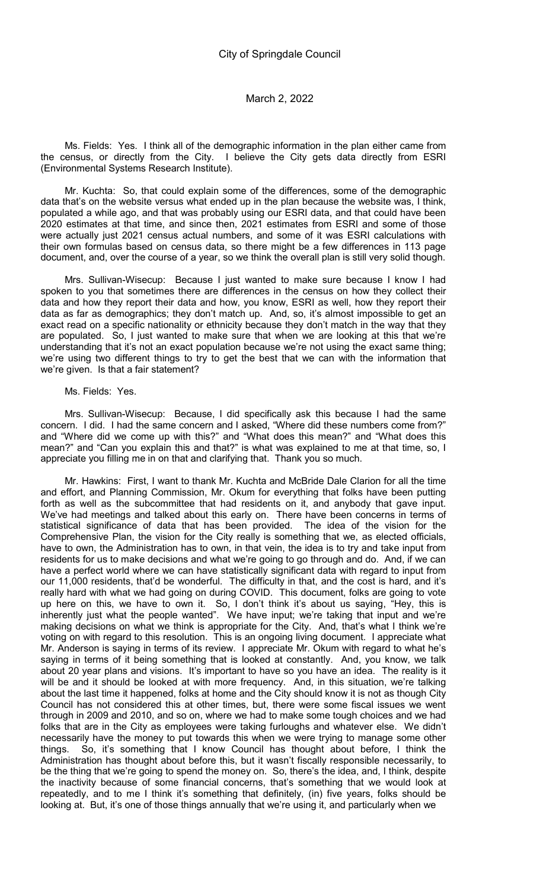Ms. Fields: Yes. I think all of the demographic information in the plan either came from the census, or directly from the City. I believe the City gets data directly from ESRI (Environmental Systems Research Institute).

Mr. Kuchta: So, that could explain some of the differences, some of the demographic data that's on the website versus what ended up in the plan because the website was, I think, populated a while ago, and that was probably using our ESRI data, and that could have been 2020 estimates at that time, and since then, 2021 estimates from ESRI and some of those were actually just 2021 census actual numbers, and some of it was ESRI calculations with their own formulas based on census data, so there might be a few differences in 113 page document, and, over the course of a year, so we think the overall plan is still very solid though.

Mrs. Sullivan-Wisecup: Because I just wanted to make sure because I know I had spoken to you that sometimes there are differences in the census on how they collect their data and how they report their data and how, you know, ESRI as well, how they report their data as far as demographics; they don't match up. And, so, it's almost impossible to get an exact read on a specific nationality or ethnicity because they don't match in the way that they are populated. So, I just wanted to make sure that when we are looking at this that we're understanding that it's not an exact population because we're not using the exact same thing; we're using two different things to try to get the best that we can with the information that we're given. Is that a fair statement?

Ms. Fields: Yes.

Mrs. Sullivan-Wisecup: Because, I did specifically ask this because I had the same concern. I did. I had the same concern and I asked, "Where did these numbers come from?" and "Where did we come up with this?" and "What does this mean?" and "What does this mean?" and "Can you explain this and that?" is what was explained to me at that time, so, I appreciate you filling me in on that and clarifying that. Thank you so much.

Mr. Hawkins: First, I want to thank Mr. Kuchta and McBride Dale Clarion for all the time and effort, and Planning Commission, Mr. Okum for everything that folks have been putting forth as well as the subcommittee that had residents on it, and anybody that gave input. We've had meetings and talked about this early on. There have been concerns in terms of statistical significance of data that has been provided. The idea of the vision for the Comprehensive Plan, the vision for the City really is something that we, as elected officials, have to own, the Administration has to own, in that vein, the idea is to try and take input from residents for us to make decisions and what we're going to go through and do. And, if we can have a perfect world where we can have statistically significant data with regard to input from our 11,000 residents, that'd be wonderful. The difficulty in that, and the cost is hard, and it's really hard with what we had going on during COVID. This document, folks are going to vote up here on this, we have to own it. So, I don't think it's about us saying, "Hey, this is inherently just what the people wanted". We have input; we're taking that input and we're making decisions on what we think is appropriate for the City. And, that's what I think we're voting on with regard to this resolution. This is an ongoing living document. I appreciate what Mr. Anderson is saying in terms of its review. I appreciate Mr. Okum with regard to what he's saying in terms of it being something that is looked at constantly. And, you know, we talk about 20 year plans and visions. It's important to have so you have an idea. The reality is it will be and it should be looked at with more frequency. And, in this situation, we're talking about the last time it happened, folks at home and the City should know it is not as though City Council has not considered this at other times, but, there were some fiscal issues we went through in 2009 and 2010, and so on, where we had to make some tough choices and we had folks that are in the City as employees were taking furloughs and whatever else. We didn't necessarily have the money to put towards this when we were trying to manage some other things. So, it's something that I know Council has thought about before, I think the Administration has thought about before this, but it wasn't fiscally responsible necessarily, to be the thing that we're going to spend the money on. So, there's the idea, and, I think, despite the inactivity because of some financial concerns, that's something that we would look at repeatedly, and to me I think it's something that definitely, (in) five years, folks should be looking at. But, it's one of those things annually that we're using it, and particularly when we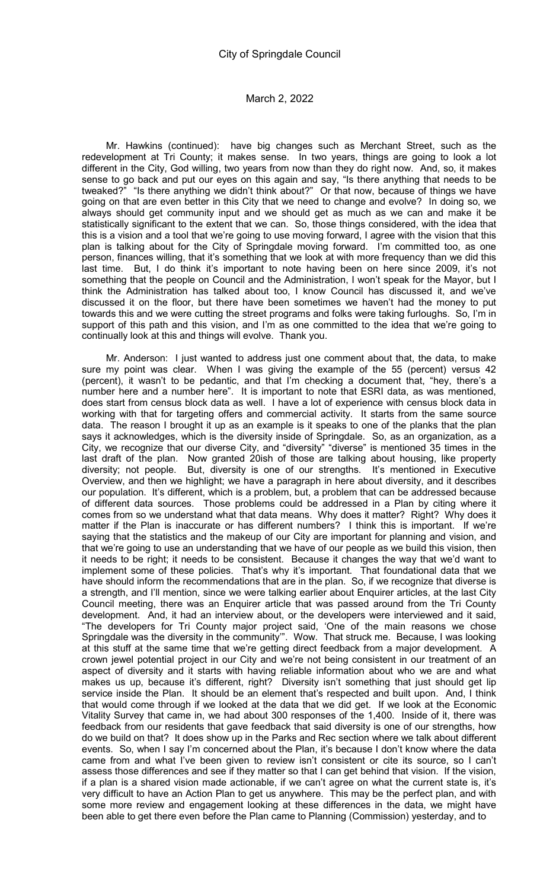Mr. Hawkins (continued): have big changes such as Merchant Street, such as the redevelopment at Tri County; it makes sense. In two years, things are going to look a lot different in the City, God willing, two years from now than they do right now. And, so, it makes sense to go back and put our eyes on this again and say, "Is there anything that needs to be tweaked?" "Is there anything we didn't think about?" Or that now, because of things we have going on that are even better in this City that we need to change and evolve? In doing so, we always should get community input and we should get as much as we can and make it be statistically significant to the extent that we can. So, those things considered, with the idea that this is a vision and a tool that we're going to use moving forward, I agree with the vision that this plan is talking about for the City of Springdale moving forward. I'm committed too, as one person, finances willing, that it's something that we look at with more frequency than we did this last time. But, I do think it's important to note having been on here since 2009, it's not something that the people on Council and the Administration, I won't speak for the Mayor, but I think the Administration has talked about too, I know Council has discussed it, and we've discussed it on the floor, but there have been sometimes we haven't had the money to put towards this and we were cutting the street programs and folks were taking furloughs. So, I'm in support of this path and this vision, and I'm as one committed to the idea that we're going to continually look at this and things will evolve. Thank you.

Mr. Anderson: I just wanted to address just one comment about that, the data, to make sure my point was clear. When I was giving the example of the 55 (percent) versus 42 (percent), it wasn't to be pedantic, and that I'm checking a document that, "hey, there's a number here and a number here". It is important to note that ESRI data, as was mentioned, does start from census block data as well. I have a lot of experience with census block data in working with that for targeting offers and commercial activity. It starts from the same source data. The reason I brought it up as an example is it speaks to one of the planks that the plan says it acknowledges, which is the diversity inside of Springdale. So, as an organization, as a City, we recognize that our diverse City, and "diversity" "diverse" is mentioned 35 times in the last draft of the plan. Now granted 20ish of those are talking about housing, like property diversity; not people. But, diversity is one of our strengths. It's mentioned in Executive Overview, and then we highlight; we have a paragraph in here about diversity, and it describes our population. It's different, which is a problem, but, a problem that can be addressed because of different data sources. Those problems could be addressed in a Plan by citing where it comes from so we understand what that data means. Why does it matter? Right? Why does it matter if the Plan is inaccurate or has different numbers? I think this is important. If we're saying that the statistics and the makeup of our City are important for planning and vision, and that we're going to use an understanding that we have of our people as we build this vision, then it needs to be right; it needs to be consistent. Because it changes the way that we'd want to implement some of these policies. That's why it's important. That foundational data that we have should inform the recommendations that are in the plan. So, if we recognize that diverse is a strength, and I'll mention, since we were talking earlier about Enquirer articles, at the last City Council meeting, there was an Enquirer article that was passed around from the Tri County development. And, it had an interview about, or the developers were interviewed and it said, "The developers for Tri County major project said, 'One of the main reasons we chose Springdale was the diversity in the community'". Wow. That struck me. Because, I was looking at this stuff at the same time that we're getting direct feedback from a major development. A crown jewel potential project in our City and we're not being consistent in our treatment of an aspect of diversity and it starts with having reliable information about who we are and what makes us up, because it's different, right? Diversity isn't something that just should get lip service inside the Plan. It should be an element that's respected and built upon. And, I think that would come through if we looked at the data that we did get. If we look at the Economic Vitality Survey that came in, we had about 300 responses of the 1,400. Inside of it, there was feedback from our residents that gave feedback that said diversity is one of our strengths, how do we build on that? It does show up in the Parks and Rec section where we talk about different events. So, when I say I'm concerned about the Plan, it's because I don't know where the data came from and what I've been given to review isn't consistent or cite its source, so I can't assess those differences and see if they matter so that I can get behind that vision. If the vision, if a plan is a shared vision made actionable, if we can't agree on what the current state is, it's very difficult to have an Action Plan to get us anywhere. This may be the perfect plan, and with some more review and engagement looking at these differences in the data, we might have been able to get there even before the Plan came to Planning (Commission) yesterday, and to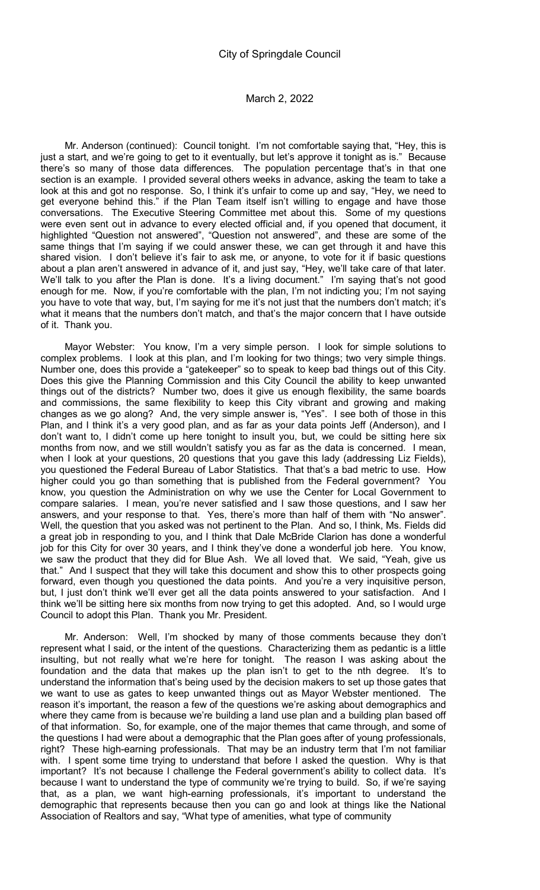Mr. Anderson (continued): Council tonight. I'm not comfortable saying that, "Hey, this is just a start, and we're going to get to it eventually, but let's approve it tonight as is." Because there's so many of those data differences. The population percentage that's in that one section is an example. I provided several others weeks in advance, asking the team to take a look at this and got no response. So, I think it's unfair to come up and say, "Hey, we need to get everyone behind this." if the Plan Team itself isn't willing to engage and have those conversations. The Executive Steering Committee met about this. Some of my questions were even sent out in advance to every elected official and, if you opened that document, it highlighted "Question not answered", "Question not answered", and these are some of the same things that I'm saying if we could answer these, we can get through it and have this shared vision. I don't believe it's fair to ask me, or anyone, to vote for it if basic questions about a plan aren't answered in advance of it, and just say, "Hey, we'll take care of that later. We'll talk to you after the Plan is done. It's a living document." I'm saying that's not good enough for me. Now, if you're comfortable with the plan, I'm not indicting you; I'm not saying you have to vote that way, but, I'm saying for me it's not just that the numbers don't match; it's what it means that the numbers don't match, and that's the major concern that I have outside of it. Thank you.

Mayor Webster: You know, I'm a very simple person. I look for simple solutions to complex problems. I look at this plan, and I'm looking for two things; two very simple things. Number one, does this provide a "gatekeeper" so to speak to keep bad things out of this City. Does this give the Planning Commission and this City Council the ability to keep unwanted things out of the districts? Number two, does it give us enough flexibility, the same boards and commissions, the same flexibility to keep this City vibrant and growing and making changes as we go along? And, the very simple answer is, "Yes". I see both of those in this Plan, and I think it's a very good plan, and as far as your data points Jeff (Anderson), and I don't want to, I didn't come up here tonight to insult you, but, we could be sitting here six months from now, and we still wouldn't satisfy you as far as the data is concerned. I mean, when I look at your questions, 20 questions that you gave this lady (addressing Liz Fields), you questioned the Federal Bureau of Labor Statistics. That that's a bad metric to use. How higher could you go than something that is published from the Federal government? You know, you question the Administration on why we use the Center for Local Government to compare salaries. I mean, you're never satisfied and I saw those questions, and I saw her answers, and your response to that. Yes, there's more than half of them with "No answer". Well, the question that you asked was not pertinent to the Plan. And so, I think, Ms. Fields did a great job in responding to you, and I think that Dale McBride Clarion has done a wonderful job for this City for over 30 years, and I think they've done a wonderful job here. You know, we saw the product that they did for Blue Ash. We all loved that. We said, "Yeah, give us that." And I suspect that they will take this document and show this to other prospects going forward, even though you questioned the data points. And you're a very inquisitive person, but, I just don't think we'll ever get all the data points answered to your satisfaction. And I think we'll be sitting here six months from now trying to get this adopted. And, so I would urge Council to adopt this Plan. Thank you Mr. President.

Mr. Anderson: Well, I'm shocked by many of those comments because they don't represent what I said, or the intent of the questions. Characterizing them as pedantic is a little insulting, but not really what we're here for tonight. The reason I was asking about the foundation and the data that makes up the plan isn't to get to the nth degree. It's to understand the information that's being used by the decision makers to set up those gates that we want to use as gates to keep unwanted things out as Mayor Webster mentioned. The reason it's important, the reason a few of the questions we're asking about demographics and where they came from is because we're building a land use plan and a building plan based off of that information. So, for example, one of the major themes that came through, and some of the questions I had were about a demographic that the Plan goes after of young professionals, right? These high-earning professionals. That may be an industry term that I'm not familiar with. I spent some time trying to understand that before I asked the question. Why is that important? It's not because I challenge the Federal government's ability to collect data. It's because I want to understand the type of community we're trying to build. So, if we're saying that, as a plan, we want high-earning professionals, it's important to understand the demographic that represents because then you can go and look at things like the National Association of Realtors and say, "What type of amenities, what type of community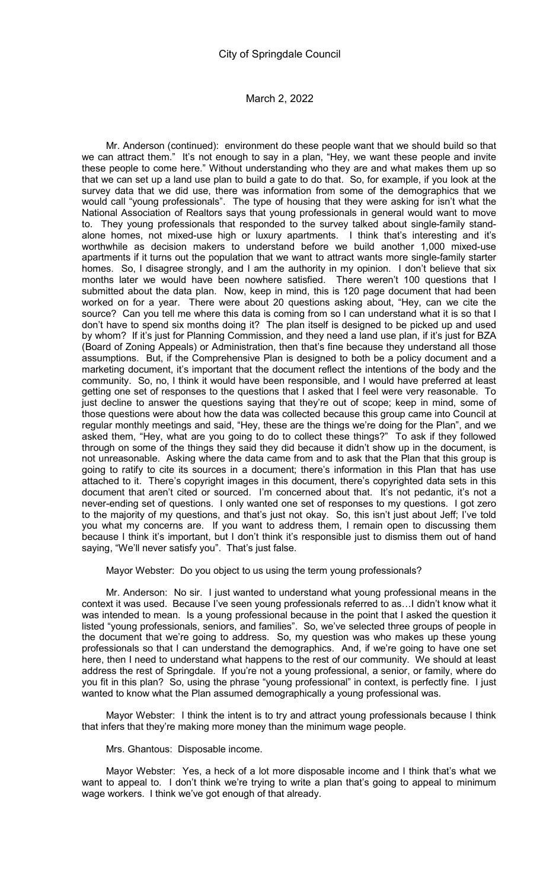Mr. Anderson (continued): environment do these people want that we should build so that we can attract them." It's not enough to say in a plan, "Hey, we want these people and invite these people to come here." Without understanding who they are and what makes them up so that we can set up a land use plan to build a gate to do that. So, for example, if you look at the survey data that we did use, there was information from some of the demographics that we would call "young professionals". The type of housing that they were asking for isn't what the National Association of Realtors says that young professionals in general would want to move to. They young professionals that responded to the survey talked about single-family standalone homes, not mixed-use high or luxury apartments. I think that's interesting and it's worthwhile as decision makers to understand before we build another 1,000 mixed-use apartments if it turns out the population that we want to attract wants more single-family starter homes. So, I disagree strongly, and I am the authority in my opinion. I don't believe that six months later we would have been nowhere satisfied. There weren't 100 questions that I submitted about the data plan. Now, keep in mind, this is 120 page document that had been worked on for a year. There were about 20 questions asking about, "Hey, can we cite the source? Can you tell me where this data is coming from so I can understand what it is so that I don't have to spend six months doing it? The plan itself is designed to be picked up and used by whom? If it's just for Planning Commission, and they need a land use plan, if it's just for BZA (Board of Zoning Appeals) or Administration, then that's fine because they understand all those assumptions. But, if the Comprehensive Plan is designed to both be a policy document and a marketing document, it's important that the document reflect the intentions of the body and the community. So, no, I think it would have been responsible, and I would have preferred at least getting one set of responses to the questions that I asked that I feel were very reasonable. To just decline to answer the questions saying that they're out of scope; keep in mind, some of those questions were about how the data was collected because this group came into Council at regular monthly meetings and said, "Hey, these are the things we're doing for the Plan", and we asked them, "Hey, what are you going to do to collect these things?" To ask if they followed through on some of the things they said they did because it didn't show up in the document, is not unreasonable. Asking where the data came from and to ask that the Plan that this group is going to ratify to cite its sources in a document; there's information in this Plan that has use attached to it. There's copyright images in this document, there's copyrighted data sets in this document that aren't cited or sourced. I'm concerned about that. It's not pedantic, it's not a never-ending set of questions. I only wanted one set of responses to my questions. I got zero to the majority of my questions, and that's just not okay. So, this isn't just about Jeff; I've told you what my concerns are. If you want to address them, I remain open to discussing them because I think it's important, but I don't think it's responsible just to dismiss them out of hand saying, "We'll never satisfy you". That's just false.

Mayor Webster: Do you object to us using the term young professionals?

Mr. Anderson: No sir. I just wanted to understand what young professional means in the context it was used. Because I've seen young professionals referred to as…I didn't know what it was intended to mean. Is a young professional because in the point that I asked the question it listed "young professionals, seniors, and families". So, we've selected three groups of people in the document that we're going to address. So, my question was who makes up these young professionals so that I can understand the demographics. And, if we're going to have one set here, then I need to understand what happens to the rest of our community. We should at least address the rest of Springdale. If you're not a young professional, a senior, or family, where do you fit in this plan? So, using the phrase "young professional" in context, is perfectly fine. I just wanted to know what the Plan assumed demographically a young professional was.

Mayor Webster: I think the intent is to try and attract young professionals because I think that infers that they're making more money than the minimum wage people.

Mrs. Ghantous: Disposable income.

Mayor Webster: Yes, a heck of a lot more disposable income and I think that's what we want to appeal to. I don't think we're trying to write a plan that's going to appeal to minimum wage workers. I think we've got enough of that already.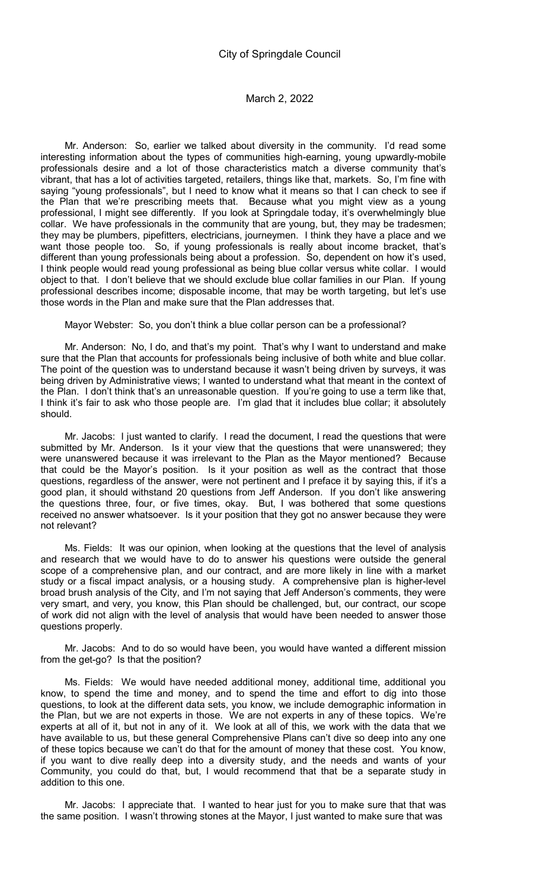Mr. Anderson: So, earlier we talked about diversity in the community. I'd read some interesting information about the types of communities high-earning, young upwardly-mobile professionals desire and a lot of those characteristics match a diverse community that's vibrant, that has a lot of activities targeted, retailers, things like that, markets. So, I'm fine with saying "young professionals", but I need to know what it means so that I can check to see if the Plan that we're prescribing meets that. Because what you might view as a young professional, I might see differently. If you look at Springdale today, it's overwhelmingly blue collar. We have professionals in the community that are young, but, they may be tradesmen; they may be plumbers, pipefitters, electricians, journeymen. I think they have a place and we want those people too. So, if young professionals is really about income bracket, that's different than young professionals being about a profession. So, dependent on how it's used, I think people would read young professional as being blue collar versus white collar. I would object to that. I don't believe that we should exclude blue collar families in our Plan. If young professional describes income; disposable income, that may be worth targeting, but let's use those words in the Plan and make sure that the Plan addresses that.

Mayor Webster: So, you don't think a blue collar person can be a professional?

Mr. Anderson: No, I do, and that's my point. That's why I want to understand and make sure that the Plan that accounts for professionals being inclusive of both white and blue collar. The point of the question was to understand because it wasn't being driven by surveys, it was being driven by Administrative views; I wanted to understand what that meant in the context of the Plan. I don't think that's an unreasonable question. If you're going to use a term like that, I think it's fair to ask who those people are. I'm glad that it includes blue collar; it absolutely should.

Mr. Jacobs: I just wanted to clarify. I read the document, I read the questions that were submitted by Mr. Anderson. Is it your view that the questions that were unanswered; they were unanswered because it was irrelevant to the Plan as the Mayor mentioned? Because that could be the Mayor's position. Is it your position as well as the contract that those questions, regardless of the answer, were not pertinent and I preface it by saying this, if it's a good plan, it should withstand 20 questions from Jeff Anderson. If you don't like answering the questions three, four, or five times, okay. But, I was bothered that some questions received no answer whatsoever. Is it your position that they got no answer because they were not relevant?

Ms. Fields: It was our opinion, when looking at the questions that the level of analysis and research that we would have to do to answer his questions were outside the general scope of a comprehensive plan, and our contract, and are more likely in line with a market study or a fiscal impact analysis, or a housing study. A comprehensive plan is higher-level broad brush analysis of the City, and I'm not saying that Jeff Anderson's comments, they were very smart, and very, you know, this Plan should be challenged, but, our contract, our scope of work did not align with the level of analysis that would have been needed to answer those questions properly.

Mr. Jacobs: And to do so would have been, you would have wanted a different mission from the get-go? Is that the position?

Ms. Fields: We would have needed additional money, additional time, additional you know, to spend the time and money, and to spend the time and effort to dig into those questions, to look at the different data sets, you know, we include demographic information in the Plan, but we are not experts in those. We are not experts in any of these topics. We're experts at all of it, but not in any of it. We look at all of this, we work with the data that we have available to us, but these general Comprehensive Plans can't dive so deep into any one of these topics because we can't do that for the amount of money that these cost. You know, if you want to dive really deep into a diversity study, and the needs and wants of your Community, you could do that, but, I would recommend that that be a separate study in addition to this one.

Mr. Jacobs: I appreciate that. I wanted to hear just for you to make sure that that was the same position. I wasn't throwing stones at the Mayor, I just wanted to make sure that was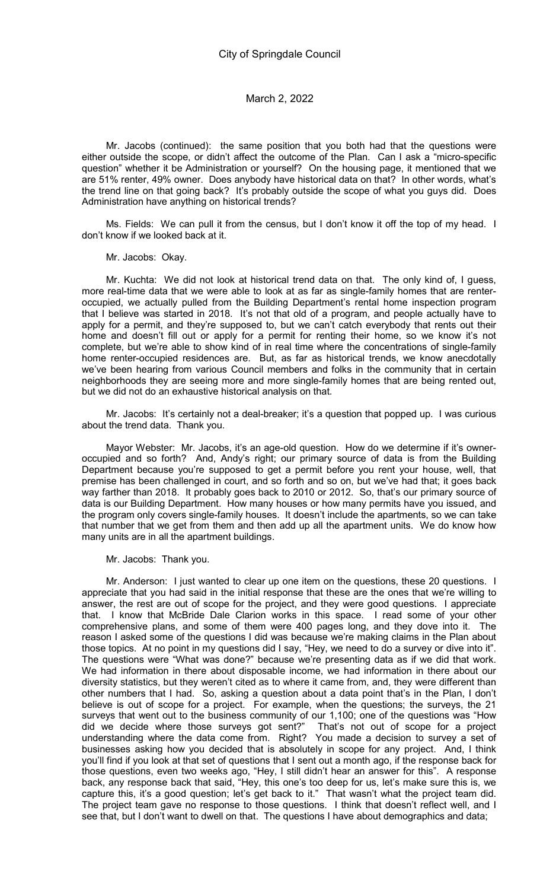Mr. Jacobs (continued): the same position that you both had that the questions were either outside the scope, or didn't affect the outcome of the Plan. Can I ask a "micro-specific question" whether it be Administration or yourself? On the housing page, it mentioned that we are 51% renter, 49% owner. Does anybody have historical data on that? In other words, what's the trend line on that going back? It's probably outside the scope of what you guys did. Does Administration have anything on historical trends?

Ms. Fields: We can pull it from the census, but I don't know it off the top of my head. I don't know if we looked back at it.

Mr. Jacobs: Okay.

Mr. Kuchta: We did not look at historical trend data on that. The only kind of, I guess, more real-time data that we were able to look at as far as single-family homes that are renteroccupied, we actually pulled from the Building Department's rental home inspection program that I believe was started in 2018. It's not that old of a program, and people actually have to apply for a permit, and they're supposed to, but we can't catch everybody that rents out their home and doesn't fill out or apply for a permit for renting their home, so we know it's not complete, but we're able to show kind of in real time where the concentrations of single-family home renter-occupied residences are. But, as far as historical trends, we know anecdotally we've been hearing from various Council members and folks in the community that in certain neighborhoods they are seeing more and more single-family homes that are being rented out, but we did not do an exhaustive historical analysis on that.

Mr. Jacobs: It's certainly not a deal-breaker; it's a question that popped up. I was curious about the trend data. Thank you.

Mayor Webster: Mr. Jacobs, it's an age-old question. How do we determine if it's owneroccupied and so forth? And, Andy's right; our primary source of data is from the Building Department because you're supposed to get a permit before you rent your house, well, that premise has been challenged in court, and so forth and so on, but we've had that; it goes back way farther than 2018. It probably goes back to 2010 or 2012. So, that's our primary source of data is our Building Department. How many houses or how many permits have you issued, and the program only covers single-family houses. It doesn't include the apartments, so we can take that number that we get from them and then add up all the apartment units. We do know how many units are in all the apartment buildings.

Mr. Jacobs: Thank you.

Mr. Anderson: I just wanted to clear up one item on the questions, these 20 questions. I appreciate that you had said in the initial response that these are the ones that we're willing to answer, the rest are out of scope for the project, and they were good questions. I appreciate that. I know that McBride Dale Clarion works in this space. I read some of your other comprehensive plans, and some of them were 400 pages long, and they dove into it. The reason I asked some of the questions I did was because we're making claims in the Plan about those topics. At no point in my questions did I say, "Hey, we need to do a survey or dive into it". The questions were "What was done?" because we're presenting data as if we did that work. We had information in there about disposable income, we had information in there about our diversity statistics, but they weren't cited as to where it came from, and, they were different than other numbers that I had. So, asking a question about a data point that's in the Plan, I don't believe is out of scope for a project. For example, when the questions; the surveys, the 21 surveys that went out to the business community of our 1,100; one of the questions was "How did we decide where those surveys got sent?" That's not out of scope for a project understanding where the data come from. Right? You made a decision to survey a set of businesses asking how you decided that is absolutely in scope for any project. And, I think you'll find if you look at that set of questions that I sent out a month ago, if the response back for those questions, even two weeks ago, "Hey, I still didn't hear an answer for this". A response back, any response back that said, "Hey, this one's too deep for us, let's make sure this is, we capture this, it's a good question; let's get back to it." That wasn't what the project team did. The project team gave no response to those questions. I think that doesn't reflect well, and I see that, but I don't want to dwell on that. The questions I have about demographics and data;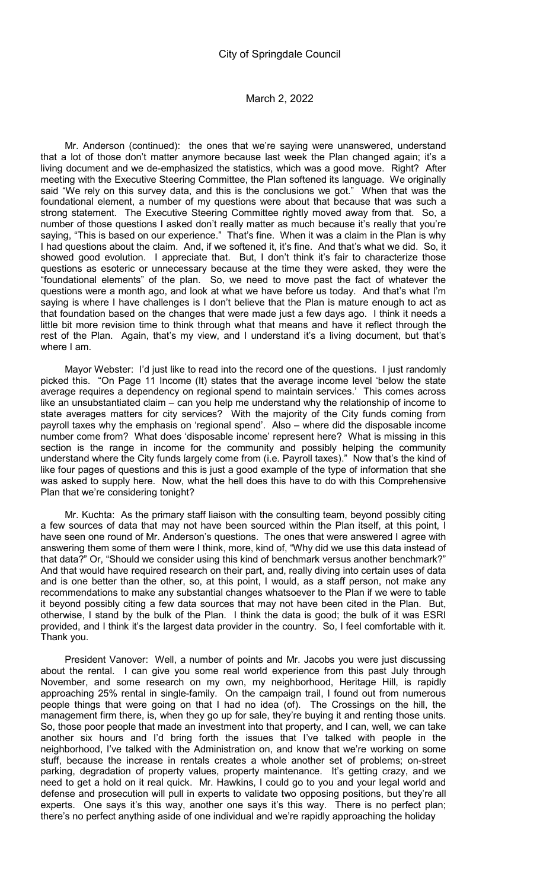Mr. Anderson (continued): the ones that we're saying were unanswered, understand that a lot of those don't matter anymore because last week the Plan changed again; it's a living document and we de-emphasized the statistics, which was a good move. Right? After meeting with the Executive Steering Committee, the Plan softened its language. We originally said "We rely on this survey data, and this is the conclusions we got." When that was the foundational element, a number of my questions were about that because that was such a strong statement. The Executive Steering Committee rightly moved away from that. So, a number of those questions I asked don't really matter as much because it's really that you're saying, "This is based on our experience." That's fine. When it was a claim in the Plan is why I had questions about the claim. And, if we softened it, it's fine. And that's what we did. So, it showed good evolution. I appreciate that. But, I don't think it's fair to characterize those questions as esoteric or unnecessary because at the time they were asked, they were the "foundational elements" of the plan. So, we need to move past the fact of whatever the questions were a month ago, and look at what we have before us today. And that's what I'm saying is where I have challenges is I don't believe that the Plan is mature enough to act as that foundation based on the changes that were made just a few days ago. I think it needs a little bit more revision time to think through what that means and have it reflect through the rest of the Plan. Again, that's my view, and I understand it's a living document, but that's where I am.

Mayor Webster: I'd just like to read into the record one of the questions. I just randomly picked this. "On Page 11 Income (It) states that the average income level 'below the state average requires a dependency on regional spend to maintain services.' This comes across like an unsubstantiated claim – can you help me understand why the relationship of income to state averages matters for city services? With the majority of the City funds coming from payroll taxes why the emphasis on 'regional spend'. Also – where did the disposable income number come from? What does 'disposable income' represent here? What is missing in this section is the range in income for the community and possibly helping the community understand where the City funds largely come from (i.e. Payroll taxes)." Now that's the kind of like four pages of questions and this is just a good example of the type of information that she was asked to supply here. Now, what the hell does this have to do with this Comprehensive Plan that we're considering tonight?

Mr. Kuchta: As the primary staff liaison with the consulting team, beyond possibly citing a few sources of data that may not have been sourced within the Plan itself, at this point, I have seen one round of Mr. Anderson's questions. The ones that were answered I agree with answering them some of them were I think, more, kind of, "Why did we use this data instead of that data?" Or, "Should we consider using this kind of benchmark versus another benchmark?" And that would have required research on their part, and, really diving into certain uses of data and is one better than the other, so, at this point, I would, as a staff person, not make any recommendations to make any substantial changes whatsoever to the Plan if we were to table it beyond possibly citing a few data sources that may not have been cited in the Plan. But, otherwise, I stand by the bulk of the Plan. I think the data is good; the bulk of it was ESRI provided, and I think it's the largest data provider in the country. So, I feel comfortable with it. Thank you.

President Vanover: Well, a number of points and Mr. Jacobs you were just discussing about the rental. I can give you some real world experience from this past July through November, and some research on my own, my neighborhood, Heritage Hill, is rapidly approaching 25% rental in single-family. On the campaign trail, I found out from numerous people things that were going on that I had no idea (of). The Crossings on the hill, the management firm there, is, when they go up for sale, they're buying it and renting those units. So, those poor people that made an investment into that property, and I can, well, we can take another six hours and I'd bring forth the issues that I've talked with people in the neighborhood, I've talked with the Administration on, and know that we're working on some stuff, because the increase in rentals creates a whole another set of problems; on-street parking, degradation of property values, property maintenance. It's getting crazy, and we need to get a hold on it real quick. Mr. Hawkins, I could go to you and your legal world and defense and prosecution will pull in experts to validate two opposing positions, but they're all experts. One says it's this way, another one says it's this way. There is no perfect plan; there's no perfect anything aside of one individual and we're rapidly approaching the holiday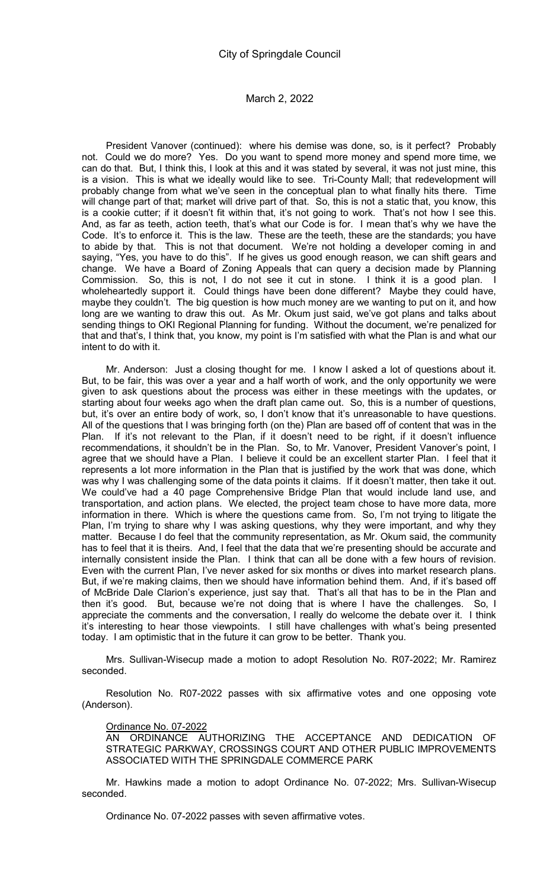President Vanover (continued): where his demise was done, so, is it perfect? Probably not. Could we do more? Yes. Do you want to spend more money and spend more time, we can do that. But, I think this, I look at this and it was stated by several, it was not just mine, this is a vision. This is what we ideally would like to see. Tri-County Mall; that redevelopment will probably change from what we've seen in the conceptual plan to what finally hits there. Time will change part of that; market will drive part of that. So, this is not a static that, you know, this is a cookie cutter; if it doesn't fit within that, it's not going to work. That's not how I see this. And, as far as teeth, action teeth, that's what our Code is for. I mean that's why we have the Code. It's to enforce it. This is the law. These are the teeth, these are the standards; you have to abide by that. This is not that document. We're not holding a developer coming in and saying, "Yes, you have to do this". If he gives us good enough reason, we can shift gears and change. We have a Board of Zoning Appeals that can query a decision made by Planning Commission. So, this is not, I do not see it cut in stone. I think it is a good plan. I wholeheartedly support it. Could things have been done different? Maybe they could have, maybe they couldn't. The big question is how much money are we wanting to put on it, and how long are we wanting to draw this out. As Mr. Okum just said, we've got plans and talks about sending things to OKI Regional Planning for funding. Without the document, we're penalized for that and that's, I think that, you know, my point is I'm satisfied with what the Plan is and what our intent to do with it.

Mr. Anderson: Just a closing thought for me. I know I asked a lot of questions about it. But, to be fair, this was over a year and a half worth of work, and the only opportunity we were given to ask questions about the process was either in these meetings with the updates, or starting about four weeks ago when the draft plan came out. So, this is a number of questions, but, it's over an entire body of work, so, I don't know that it's unreasonable to have questions. All of the questions that I was bringing forth (on the) Plan are based off of content that was in the Plan. If it's not relevant to the Plan, if it doesn't need to be right, if it doesn't influence recommendations, it shouldn't be in the Plan. So, to Mr. Vanover, President Vanover's point, I agree that we should have a Plan. I believe it could be an excellent starter Plan. I feel that it represents a lot more information in the Plan that is justified by the work that was done, which was why I was challenging some of the data points it claims. If it doesn't matter, then take it out. We could've had a 40 page Comprehensive Bridge Plan that would include land use, and transportation, and action plans. We elected, the project team chose to have more data, more information in there. Which is where the questions came from. So, I'm not trying to litigate the Plan, I'm trying to share why I was asking questions, why they were important, and why they matter. Because I do feel that the community representation, as Mr. Okum said, the community has to feel that it is theirs. And, I feel that the data that we're presenting should be accurate and internally consistent inside the Plan. I think that can all be done with a few hours of revision. Even with the current Plan, I've never asked for six months or dives into market research plans. But, if we're making claims, then we should have information behind them. And, if it's based off of McBride Dale Clarion's experience, just say that. That's all that has to be in the Plan and then it's good. But, because we're not doing that is where I have the challenges. So, I appreciate the comments and the conversation, I really do welcome the debate over it. I think it's interesting to hear those viewpoints. I still have challenges with what's being presented today. I am optimistic that in the future it can grow to be better. Thank you.

Mrs. Sullivan-Wisecup made a motion to adopt Resolution No. R07-2022; Mr. Ramirez seconded.

Resolution No. R07-2022 passes with six affirmative votes and one opposing vote (Anderson).

Ordinance No. 07-2022

AN ORDINANCE AUTHORIZING THE ACCEPTANCE AND DEDICATION OF STRATEGIC PARKWAY, CROSSINGS COURT AND OTHER PUBLIC IMPROVEMENTS ASSOCIATED WITH THE SPRINGDALE COMMERCE PARK

Mr. Hawkins made a motion to adopt Ordinance No. 07-2022; Mrs. Sullivan-Wisecup seconded.

Ordinance No. 07-2022 passes with seven affirmative votes.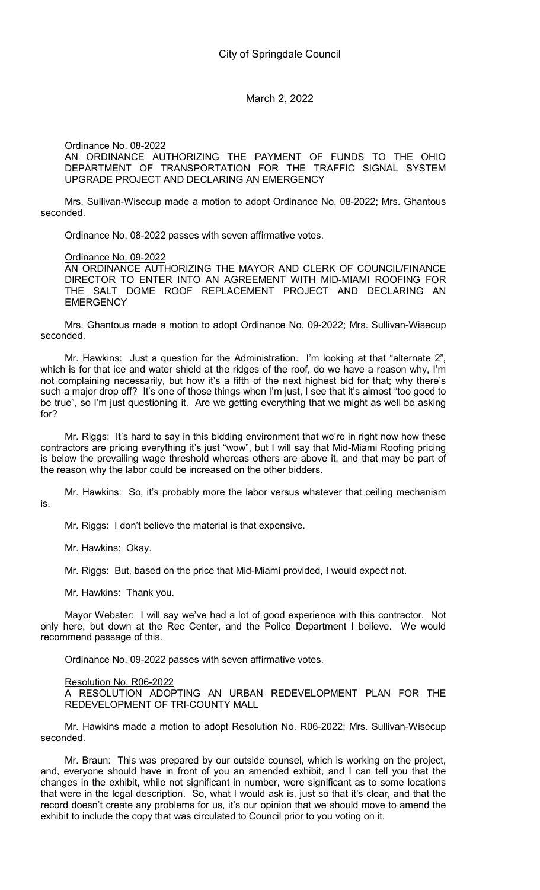Ordinance No. 08-2022

AN ORDINANCE AUTHORIZING THE PAYMENT OF FUNDS TO THE OHIO DEPARTMENT OF TRANSPORTATION FOR THE TRAFFIC SIGNAL SYSTEM UPGRADE PROJECT AND DECLARING AN EMERGENCY

Mrs. Sullivan-Wisecup made a motion to adopt Ordinance No. 08-2022; Mrs. Ghantous seconded.

Ordinance No. 08-2022 passes with seven affirmative votes.

Ordinance No. 09-2022

AN ORDINANCE AUTHORIZING THE MAYOR AND CLERK OF COUNCIL/FINANCE DIRECTOR TO ENTER INTO AN AGREEMENT WITH MID-MIAMI ROOFING FOR THE SALT DOME ROOF REPLACEMENT PROJECT AND DECLARING AN **EMERGENCY** 

Mrs. Ghantous made a motion to adopt Ordinance No. 09-2022; Mrs. Sullivan-Wisecup seconded.

Mr. Hawkins: Just a question for the Administration. I'm looking at that "alternate 2", which is for that ice and water shield at the ridges of the roof, do we have a reason why, I'm not complaining necessarily, but how it's a fifth of the next highest bid for that; why there's such a major drop off? It's one of those things when I'm just, I see that it's almost "too good to be true", so I'm just questioning it. Are we getting everything that we might as well be asking for?

Mr. Riggs: It's hard to say in this bidding environment that we're in right now how these contractors are pricing everything it's just "wow", but I will say that Mid-Miami Roofing pricing is below the prevailing wage threshold whereas others are above it, and that may be part of the reason why the labor could be increased on the other bidders.

Mr. Hawkins: So, it's probably more the labor versus whatever that ceiling mechanism is.

Mr. Riggs: I don't believe the material is that expensive.

Mr. Hawkins: Okay.

Mr. Riggs: But, based on the price that Mid-Miami provided, I would expect not.

Mr. Hawkins: Thank you.

Mayor Webster: I will say we've had a lot of good experience with this contractor. Not only here, but down at the Rec Center, and the Police Department I believe. We would recommend passage of this.

Ordinance No. 09-2022 passes with seven affirmative votes.

Resolution No. R06-2022

A RESOLUTION ADOPTING AN URBAN REDEVELOPMENT PLAN FOR THE REDEVELOPMENT OF TRI-COUNTY MALL

Mr. Hawkins made a motion to adopt Resolution No. R06-2022; Mrs. Sullivan-Wisecup seconded.

Mr. Braun: This was prepared by our outside counsel, which is working on the project, and, everyone should have in front of you an amended exhibit, and I can tell you that the changes in the exhibit, while not significant in number, were significant as to some locations that were in the legal description. So, what I would ask is, just so that it's clear, and that the record doesn't create any problems for us, it's our opinion that we should move to amend the exhibit to include the copy that was circulated to Council prior to you voting on it.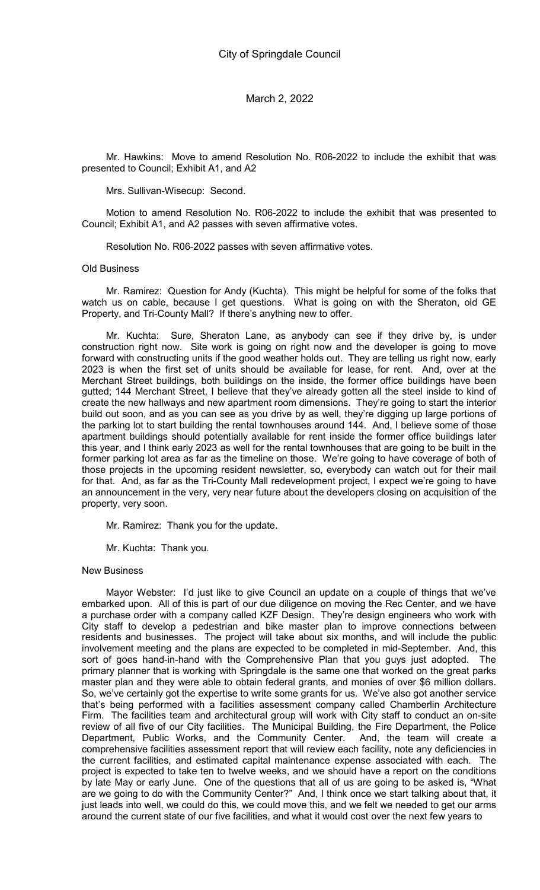Mr. Hawkins: Move to amend Resolution No. R06-2022 to include the exhibit that was presented to Council; Exhibit A1, and A2

Mrs. Sullivan-Wisecup: Second.

Motion to amend Resolution No. R06-2022 to include the exhibit that was presented to Council; Exhibit A1, and A2 passes with seven affirmative votes.

Resolution No. R06-2022 passes with seven affirmative votes.

#### Old Business

Mr. Ramirez: Question for Andy (Kuchta). This might be helpful for some of the folks that watch us on cable, because I get questions. What is going on with the Sheraton, old GE Property, and Tri-County Mall? If there's anything new to offer.

Mr. Kuchta: Sure, Sheraton Lane, as anybody can see if they drive by, is under construction right now. Site work is going on right now and the developer is going to move forward with constructing units if the good weather holds out. They are telling us right now, early 2023 is when the first set of units should be available for lease, for rent. And, over at the Merchant Street buildings, both buildings on the inside, the former office buildings have been gutted; 144 Merchant Street, I believe that they've already gotten all the steel inside to kind of create the new hallways and new apartment room dimensions. They're going to start the interior build out soon, and as you can see as you drive by as well, they're digging up large portions of the parking lot to start building the rental townhouses around 144. And, I believe some of those apartment buildings should potentially available for rent inside the former office buildings later this year, and I think early 2023 as well for the rental townhouses that are going to be built in the former parking lot area as far as the timeline on those. We're going to have coverage of both of those projects in the upcoming resident newsletter, so, everybody can watch out for their mail for that. And, as far as the Tri-County Mall redevelopment project, I expect we're going to have an announcement in the very, very near future about the developers closing on acquisition of the property, very soon.

Mr. Ramirez: Thank you for the update.

Mr. Kuchta: Thank you.

#### New Business

Mayor Webster: I'd just like to give Council an update on a couple of things that we've embarked upon. All of this is part of our due diligence on moving the Rec Center, and we have a purchase order with a company called KZF Design. They're design engineers who work with City staff to develop a pedestrian and bike master plan to improve connections between residents and businesses. The project will take about six months, and will include the public involvement meeting and the plans are expected to be completed in mid-September. And, this sort of goes hand-in-hand with the Comprehensive Plan that you guys just adopted. The primary planner that is working with Springdale is the same one that worked on the great parks master plan and they were able to obtain federal grants, and monies of over \$6 million dollars. So, we've certainly got the expertise to write some grants for us. We've also got another service that's being performed with a facilities assessment company called Chamberlin Architecture Firm. The facilities team and architectural group will work with City staff to conduct an on-site review of all five of our City facilities. The Municipal Building, the Fire Department, the Police Department, Public Works, and the Community Center. And, the team will create a comprehensive facilities assessment report that will review each facility, note any deficiencies in the current facilities, and estimated capital maintenance expense associated with each. The project is expected to take ten to twelve weeks, and we should have a report on the conditions by late May or early June. One of the questions that all of us are going to be asked is, "What are we going to do with the Community Center?" And, I think once we start talking about that, it just leads into well, we could do this, we could move this, and we felt we needed to get our arms around the current state of our five facilities, and what it would cost over the next few years to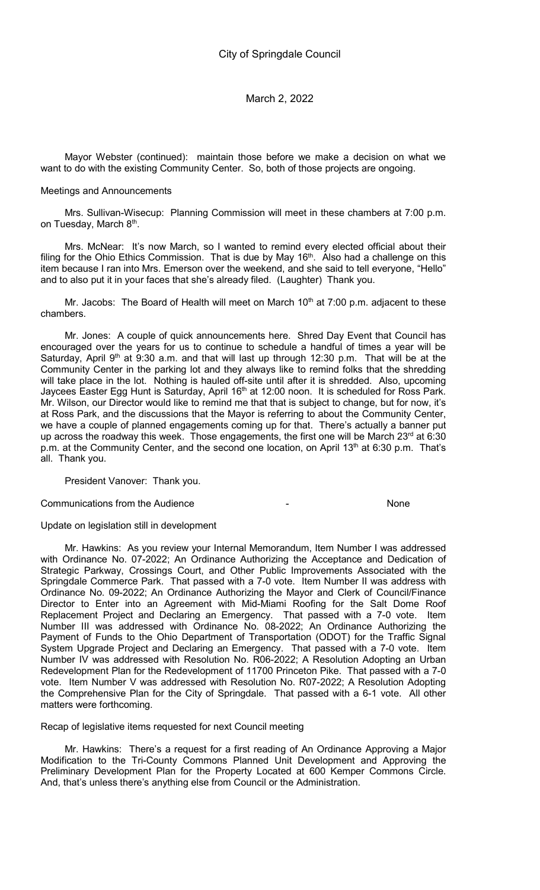Mayor Webster (continued): maintain those before we make a decision on what we want to do with the existing Community Center. So, both of those projects are ongoing.

#### Meetings and Announcements

Mrs. Sullivan-Wisecup: Planning Commission will meet in these chambers at 7:00 p.m. on Tuesday, March 8<sup>th</sup>.

Mrs. McNear: It's now March, so I wanted to remind every elected official about their filing for the Ohio Ethics Commission. That is due by May  $16<sup>th</sup>$ . Also had a challenge on this item because I ran into Mrs. Emerson over the weekend, and she said to tell everyone, "Hello" and to also put it in your faces that she's already filed. (Laughter) Thank you.

Mr. Jacobs: The Board of Health will meet on March  $10<sup>th</sup>$  at 7:00 p.m. adjacent to these chambers.

Mr. Jones: A couple of quick announcements here. Shred Day Event that Council has encouraged over the years for us to continue to schedule a handful of times a year will be Saturday, April  $9<sup>th</sup>$  at 9:30 a.m. and that will last up through 12:30 p.m. That will be at the Community Center in the parking lot and they always like to remind folks that the shredding will take place in the lot. Nothing is hauled off-site until after it is shredded. Also, upcoming Jaycees Easter Egg Hunt is Saturday, April 16<sup>th</sup> at 12:00 noon. It is scheduled for Ross Park. Mr. Wilson, our Director would like to remind me that that is subject to change, but for now, it's at Ross Park, and the discussions that the Mayor is referring to about the Community Center, we have a couple of planned engagements coming up for that. There's actually a banner put up across the roadway this week. Those engagements, the first one will be March  $23<sup>rd</sup>$  at 6:30 p.m. at the Community Center, and the second one location, on April 13<sup>th</sup> at 6:30 p.m. That's all. Thank you.

President Vanover: Thank you.

Communications from the Audience - None

Update on legislation still in development

Mr. Hawkins: As you review your Internal Memorandum, Item Number I was addressed with Ordinance No. 07-2022; An Ordinance Authorizing the Acceptance and Dedication of Strategic Parkway, Crossings Court, and Other Public Improvements Associated with the Springdale Commerce Park. That passed with a 7-0 vote. Item Number II was address with Ordinance No. 09-2022; An Ordinance Authorizing the Mayor and Clerk of Council/Finance Director to Enter into an Agreement with Mid-Miami Roofing for the Salt Dome Roof Replacement Project and Declaring an Emergency. That passed with a 7-0 vote. Item Number III was addressed with Ordinance No. 08-2022; An Ordinance Authorizing the Payment of Funds to the Ohio Department of Transportation (ODOT) for the Traffic Signal System Upgrade Project and Declaring an Emergency. That passed with a 7-0 vote. Item Number IV was addressed with Resolution No. R06-2022; A Resolution Adopting an Urban Redevelopment Plan for the Redevelopment of 11700 Princeton Pike. That passed with a 7-0 vote. Item Number V was addressed with Resolution No. R07-2022; A Resolution Adopting the Comprehensive Plan for the City of Springdale. That passed with a 6-1 vote. All other matters were forthcoming.

Recap of legislative items requested for next Council meeting

Mr. Hawkins: There's a request for a first reading of An Ordinance Approving a Major Modification to the Tri-County Commons Planned Unit Development and Approving the Preliminary Development Plan for the Property Located at 600 Kemper Commons Circle. And, that's unless there's anything else from Council or the Administration.